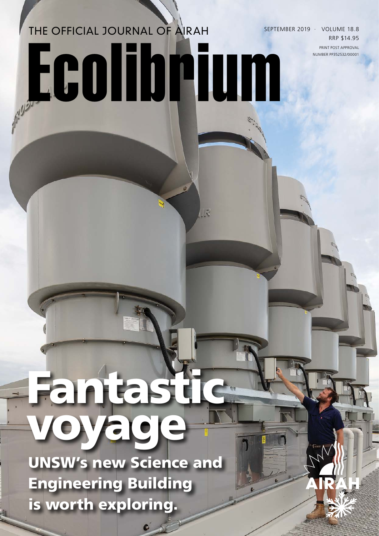# THE OFFICIAL JOURNAL OF AIRAH Ecolibrium

SEPTEMBER 2019 · VOLUME 18.8 RRP \$14.95 PRINT POST APPROVAL NUMBER PP352532/00001

## Fantastic voyage

UNSW's new Science and Engineering Building is worth exploring.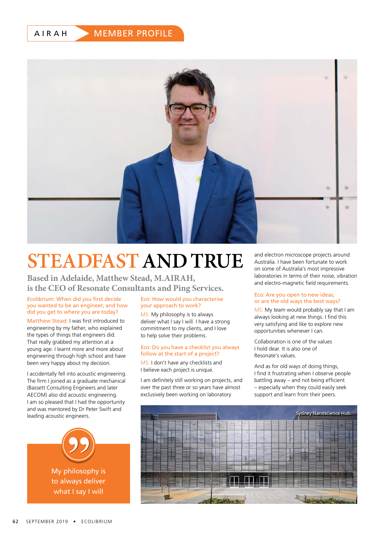AIRAH

#### MEMBER PROFILE



### **STEADFAST AND TRUE**

**Based in Adelaide, Matthew Stead, M.AIRAH, is the CEO of Resonate Consultants and Ping Services.**

#### Ecolibrium: When did you first decide you wanted to be an engineer, and how did you get to where you are today?

Matthew Stead: I was first introduced to engineering by my father, who explained the types of things that engineers did. That really grabbed my attention at a young age. I learnt more and more about engineering through high school and have been very happy about my decision.

I accidentally fell into acoustic engineering. The firm Lioined as a graduate mechanical (Bassett Consulting Engineers and later AECOM) also did acoustic engineering. I am so pleased that I had the opportunity and was mentored by Dr Peter Swift and leading acoustic engineers.



#### Eco: How would you characterise your approach to work?

MS: My philosophy is to always deliver what I say I will. I have a strong commitment to my clients, and I love to help solve their problems.

#### Eco: Do you have a checklist you always follow at the start of a project?

MS: I don't have any checklists and I believe each project is unique.

I am definitely still working on projects, and over the past three or so years have almost exclusively been working on laboratory

and electron microscope projects around Australia. I have been fortunate to work on some of Australia's most impressive laboratories in terms of their noise, vibration and electro-magnetic field requirements.

#### Eco: Are you open to new ideas, or are the old ways the best ways?

MS: My team would probably say that I am always looking at new things. I find this very satisfying and like to explore new opportunities whenever I can.

Collaboration is one of the values I hold dear. It is also one of Resonate's values.

And as for old ways of doing things, I find it frustrating when I observe people battling away – and not being efficient – especially when they could easily seek support and learn from their peers.